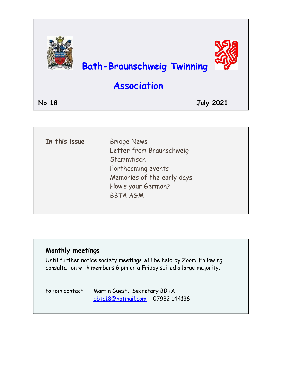

| In this issue | <b>Bridge News</b>         |
|---------------|----------------------------|
|               | Letter from Braunschweig   |
|               | Stammtisch                 |
|               | Forthcoming events         |
|               | Memories of the early days |
|               | How's your German?         |
|               | <b>BBTA AGM</b>            |
|               |                            |
|               |                            |

### **Monthly meetings**

Until further notice society meetings will be held by Zoom. Following consultation with members 6 pm on a Friday suited a large majority.

to join contact: Martin Guest, Secretary BBTA [bbta18@hotmail.com](mailto:bbta18@hotmail.com) 07932 144136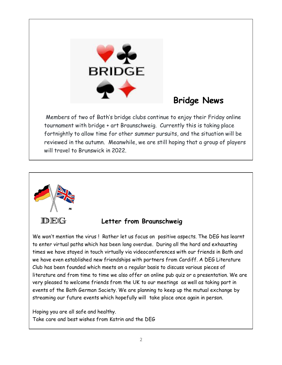

# **Bridge News**

Members of two of Bath's bridge clubs continue to enjoy their Friday online tournament with bridge + art Braunschweig. Currently this is taking place fortnightly to allow time for other summer pursuits, and the situation will be reviewed in the autumn. Meanwhile, we are still hoping that a group of players will travel to Brunswick in 2022.



### **Letter from Braunschweig**

We won't mention the virus ! Rather let us focus on positive aspects. The DEG has learnt to enter virtual paths which has been long overdue. During all the hard and exhausting times we have stayed in touch virtually via videoconferences with our friends in Bath and we have even established new friendships with partners from Cardiff. A DEG Literature Club has been founded which meets on a regular basis to discuss various pieces of literature and from time to time we also offer an online pub quiz or a presentation. We are very pleased to welcome friends from the UK to our meetings as well as taking part in events of the Bath German Society. We are planning to keep up the mutual exchange by streaming our future events which hopefully will take place once again in person.

Hoping you are all safe and healthy. Take care and best wishes from Katrin and the DEG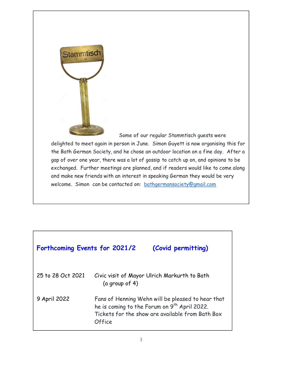

Some of our regular Stammtisch guests were

delighted to meet again in person in June. Simon Guyett is now organising this for the Bath German Society, and he chose an outdoor location on a fine day. After a gap of over one year, there was a lot of gossip to catch up on, and opinions to be exchanged. Further meetings are planned, and if readers would like to come along and make new friends with an interest in speaking German they would be very welcome. Simon can be contacted on: [bathgermansociety@gmail.com](mailto:bathgermansociety@gmail.com)

| Forthcoming Events for 2021/2 |                                                                                                                                                                             | (Covid permitting)                           |
|-------------------------------|-----------------------------------------------------------------------------------------------------------------------------------------------------------------------------|----------------------------------------------|
| 25 to 28 Oct 2021             | (a group of $4$ )                                                                                                                                                           | Civic visit of Mayor Ulrich Markurth to Bath |
| 9 April 2022                  | Fans of Henning Wehn will be pleased to hear that<br>he is coming to the Forum on 9 <sup>th</sup> April 2022.<br>Tickets for the show are available from Bath Box<br>Office |                                              |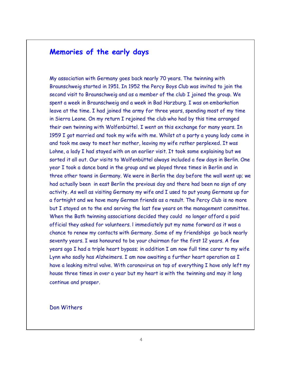### **Memories of the early days**

My association with Germany goes back nearly 70 years. The twinning with Braunschweig started in 1951. In 1952 the Percy Boys Club was invited to join the second visit to Braunschweig and as a member of the club I joined the group. We spent a week in Braunschweig and a week in Bad Harzburg. I was on embarkation leave at the time. I had joined the army for three years, spending most of my time in Sierra Leone. On my return I rejoined the club who had by this time arranged their own twinning with Wolfenbüttel. I went on this exchange for many years. In 1959 I got married and took my wife with me. Whilst at a party a young lady came in and took me away to meet her mother, leaving my wife rather perplexed. It was Lohne, a lady I had stayed with on an earlier visit. It took some explaining but we sorted it all out. Our visits to Wolfenbüttel always included a few days in Berlin. One year I took a dance band in the group and we played three times in Berlin and in three other towns in Germany. We were in Berlin the day before the wall went up; we had actually been in east Berlin the previous day and there had been no sign of any activity. As well as visiting Germany my wife and I used to put young Germans up for a fortnight and we have many German friends as a result. The Percy Club is no more but I stayed on to the end serving the last few years on the management committee. When the Bath twinning associations decided they could no longer afford a paid official they asked for volunteers. l immediately put my name forward as it was a chance to renew my contacts with Germany. Some of my friendships go back nearly seventy years. I was honoured to be your chairman for the first 12 years. A few years ago I had a triple heart bypass; in addition I am now full time carer to my wife Lynn who sadly has Alzheimers. I am now awaiting a further heart operation as I have a leaking mitral valve. With coronavirus on top of everything I have only left my house three times in over a year but my heart is with the twinning and may it long continue and prosper.

#### Don Withers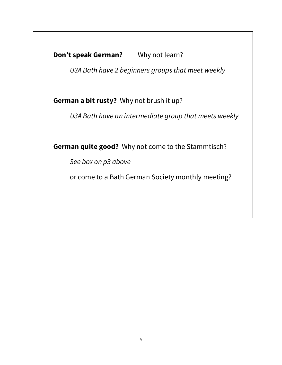**Don't speak German?** Why not learn?

*U3A Bath have 2 beginners groups that meet weekly* 

**German a bit rusty?** Why not brush it up?

*U3A Bath have an intermediate group that meets weekly* 

**German quite good?** Why not come to the Stammtisch?

*See box on p3 above* 

or come to a Bath German Society monthly meeting?